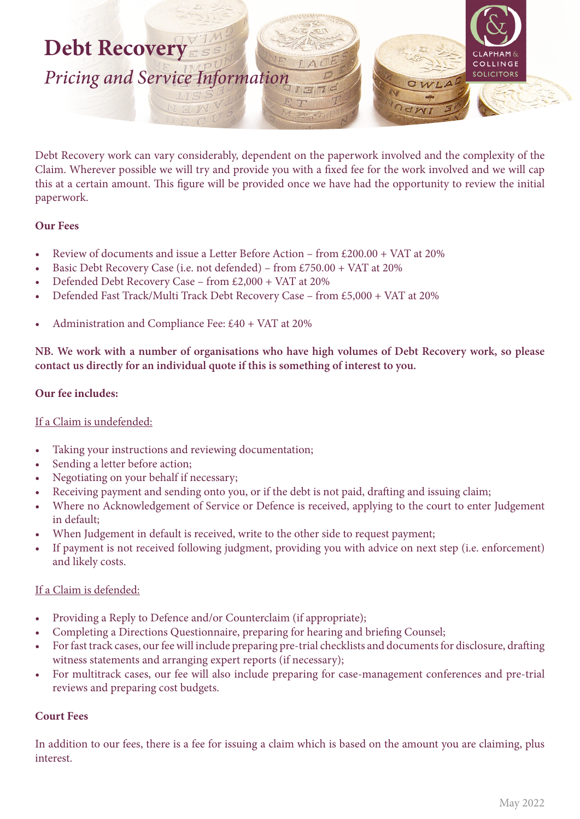

Debt Recovery work can vary considerably, dependent on the paperwork involved and the complexity of the Claim. Wherever possible we will try and provide you with a fixed fee for the work involved and we will cap this at a certain amount. This figure will be provided once we have had the opportunity to review the initial paperwork.

#### **Our Fees**

- Review of documents and issue a Letter Before Action from £200.00 + VAT at 20%
- Basic Debt Recovery Case (i.e. not defended) from £750.00 + VAT at 20%
- Defended Debt Recovery Case from £2,000 + VAT at 20%
- Defended Fast Track/Multi Track Debt Recovery Case from £5,000 + VAT at 20%
- Administration and Compliance Fee: £40 + VAT at 20%

**NB. We work with a number of organisations who have high volumes of Debt Recovery work, so please contact us directly for an individual quote if this is something of interest to you.**

### **Our fee includes:**

### If a Claim is undefended:

- Taking your instructions and reviewing documentation;
- Sending a letter before action;
- Negotiating on your behalf if necessary;
- Receiving payment and sending onto you, or if the debt is not paid, drafting and issuing claim;
- Where no Acknowledgement of Service or Defence is received, applying to the court to enter Judgement in default;
- When Judgement in default is received, write to the other side to request payment;
- If payment is not received following judgment, providing you with advice on next step (i.e. enforcement) and likely costs.

### If a Claim is defended:

- Providing a Reply to Defence and/or Counterclaim (if appropriate);
- Completing a Directions Questionnaire, preparing for hearing and briefing Counsel;
- For fast track cases, our fee will include preparing pre-trial checklists and documents for disclosure, drafting witness statements and arranging expert reports (if necessary);
- For multitrack cases, our fee will also include preparing for case-management conferences and pre-trial reviews and preparing cost budgets.

### **Court Fees**

In addition to our fees, there is a fee for issuing a claim which is based on the amount you are claiming, plus interest.